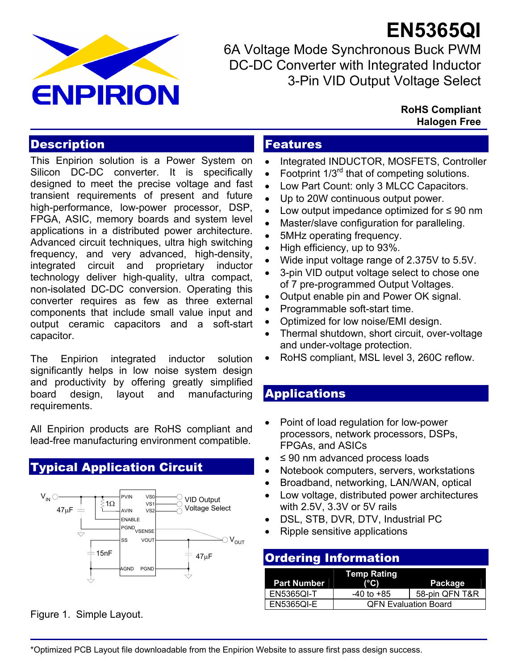

**EN5365QI** 6A Voltage Mode Synchronous Buck PWM DC-DC Converter with Integrated Inductor 3-Pin VID Output Voltage Select

#### **RoHS Compliant Halogen Free**

## **Description**

This Enpirion solution is a Power System on Silicon DC-DC converter. It is specifically designed to meet the precise voltage and fast transient requirements of present and future high-performance, low-power processor, DSP, FPGA, ASIC, memory boards and system level applications in a distributed power architecture. Advanced circuit techniques, ultra high switching frequency, and very advanced, high-density, integrated circuit and proprietary inductor technology deliver high-quality, ultra compact, non-isolated DC-DC conversion. Operating this converter requires as few as three external components that include small value input and output ceramic capacitors and a soft-start capacitor.

The Enpirion integrated inductor solution significantly helps in low noise system design and productivity by offering greatly simplified board design, layout and manufacturing requirements.

All Enpirion products are RoHS compliant and lead-free manufacturing environment compatible.

# Typical Application Circuit



Figure 1. Simple Layout.

## Features

- Integrated INDUCTOR, MOSFETS, Controller
- Footprint  $1/3^{rd}$  that of competing solutions.
- Low Part Count: only 3 MLCC Capacitors.
- Up to 20W continuous output power.
- Low output impedance optimized for ≤ 90 nm
- Master/slave configuration for paralleling.
- 5MHz operating frequency.
- High efficiency, up to 93%.
- Wide input voltage range of 2.375V to 5.5V.
- 3-pin VID output voltage select to chose one of 7 pre-programmed Output Voltages.
- Output enable pin and Power OK signal.
- Programmable soft-start time.
- Optimized for low noise/EMI design.
- Thermal shutdown, short circuit, over-voltage and under-voltage protection.
- RoHS compliant, MSL level 3, 260C reflow.

### **Applications**

- Point of load regulation for low-power processors, network processors, DSPs, FPGAs, and ASICs
- $\bullet$   $\leq$  90 nm advanced process loads
- Notebook computers, servers, workstations
- Broadband, networking, LAN/WAN, optical
- Low voltage, distributed power architectures with 2.5V, 3.3V or 5V rails
- DSL, STB, DVR, DTV, Industrial PC
- Ripple sensitive applications

#### Ordering Information

| <b>Part Number</b> | <b>Temp Rating</b><br>$(^{\circ}C)$ | Package        |  |
|--------------------|-------------------------------------|----------------|--|
| <b>EN5365QI-T</b>  | -40 to +85                          | 58-pin QFN T&R |  |
| <b>EN5365OI-E</b>  | <b>QFN Evaluation Board</b>         |                |  |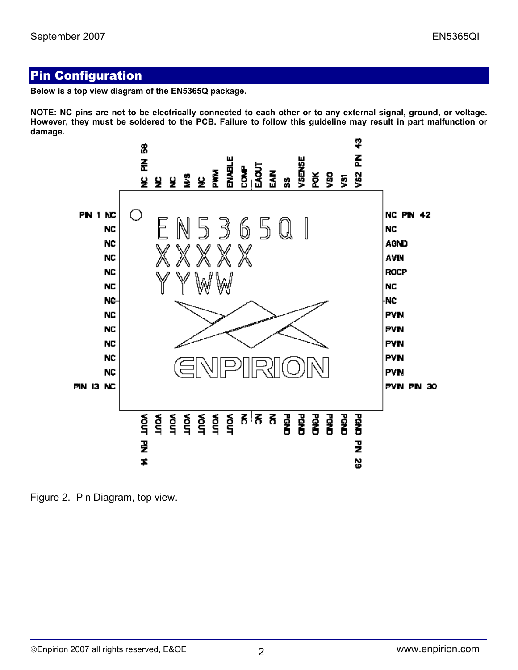## Pin Configuration

**Below is a top view diagram of the EN5365Q package.** 

**NOTE: NC pins are not to be electrically connected to each other or to any external signal, ground, or voltage. However, they must be soldered to the PCB. Failure to follow this guideline may result in part malfunction or damage.** 



Figure 2. Pin Diagram, top view.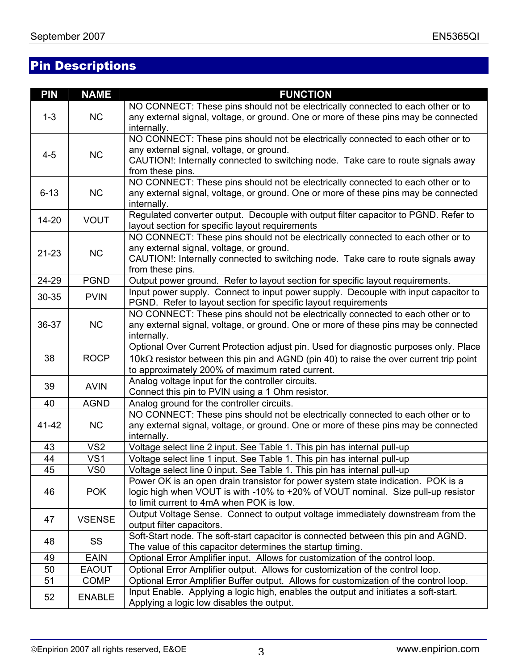# Pin Descriptions

| <b>PIN</b> | <b>NAME</b>     | <b>FUNCTION</b>                                                                               |
|------------|-----------------|-----------------------------------------------------------------------------------------------|
|            |                 | NO CONNECT: These pins should not be electrically connected to each other or to               |
| $1 - 3$    | <b>NC</b>       | any external signal, voltage, or ground. One or more of these pins may be connected           |
|            |                 | internally.                                                                                   |
|            |                 | NO CONNECT: These pins should not be electrically connected to each other or to               |
| $4 - 5$    | <b>NC</b>       | any external signal, voltage, or ground.                                                      |
|            |                 | CAUTION!: Internally connected to switching node. Take care to route signals away             |
|            |                 | from these pins.                                                                              |
|            |                 | NO CONNECT: These pins should not be electrically connected to each other or to               |
| $6 - 13$   | <b>NC</b>       | any external signal, voltage, or ground. One or more of these pins may be connected           |
|            |                 | internally.                                                                                   |
| $14 - 20$  | <b>VOUT</b>     | Regulated converter output. Decouple with output filter capacitor to PGND. Refer to           |
|            |                 | layout section for specific layout requirements                                               |
|            |                 | NO CONNECT: These pins should not be electrically connected to each other or to               |
| $21 - 23$  | <b>NC</b>       | any external signal, voltage, or ground.                                                      |
|            |                 | CAUTION!: Internally connected to switching node. Take care to route signals away             |
|            |                 | from these pins.                                                                              |
| 24-29      | <b>PGND</b>     | Output power ground. Refer to layout section for specific layout requirements.                |
| 30-35      | <b>PVIN</b>     | Input power supply. Connect to input power supply. Decouple with input capacitor to           |
|            |                 | PGND. Refer to layout section for specific layout requirements                                |
|            |                 | NO CONNECT: These pins should not be electrically connected to each other or to               |
| 36-37      | <b>NC</b>       | any external signal, voltage, or ground. One or more of these pins may be connected           |
|            |                 | internally.                                                                                   |
|            |                 | Optional Over Current Protection adjust pin. Used for diagnostic purposes only. Place         |
| 38         | <b>ROCP</b>     | 10 $k\Omega$ resistor between this pin and AGND (pin 40) to raise the over current trip point |
|            |                 | to approximately 200% of maximum rated current.                                               |
| 39         | <b>AVIN</b>     | Analog voltage input for the controller circuits.                                             |
|            |                 | Connect this pin to PVIN using a 1 Ohm resistor.                                              |
| 40         | <b>AGND</b>     | Analog ground for the controller circuits.                                                    |
|            |                 | NO CONNECT: These pins should not be electrically connected to each other or to               |
| 41-42      | <b>NC</b>       | any external signal, voltage, or ground. One or more of these pins may be connected           |
|            |                 | internally.                                                                                   |
| 43         | VS <sub>2</sub> | Voltage select line 2 input. See Table 1. This pin has internal pull-up                       |
| 44         | VS <sub>1</sub> | Voltage select line 1 input. See Table 1. This pin has internal pull-up                       |
| 45         | VSD             | Voltage select line 0 input. See Table 1. This pin has internal pull-up                       |
|            |                 | Power OK is an open drain transistor for power system state indication. POK is a              |
| 46         | <b>POK</b>      | logic high when VOUT is with -10% to +20% of VOUT nominal. Size pull-up resistor              |
|            |                 | to limit current to 4mA when POK is low.                                                      |
| 47         | <b>VSENSE</b>   | Output Voltage Sense. Connect to output voltage immediately downstream from the               |
|            |                 | output filter capacitors.                                                                     |
| 48         | SS              | Soft-Start node. The soft-start capacitor is connected between this pin and AGND.             |
|            |                 | The value of this capacitor determines the startup timing.                                    |
| 49         | <b>EAIN</b>     | Optional Error Amplifier input. Allows for customization of the control loop.                 |
| 50         | <b>EAOUT</b>    | Optional Error Amplifier output. Allows for customization of the control loop.                |
| 51         | <b>COMP</b>     | Optional Error Amplifier Buffer output. Allows for customization of the control loop.         |
| 52         | <b>ENABLE</b>   | Input Enable. Applying a logic high, enables the output and initiates a soft-start.           |
|            |                 | Applying a logic low disables the output.                                                     |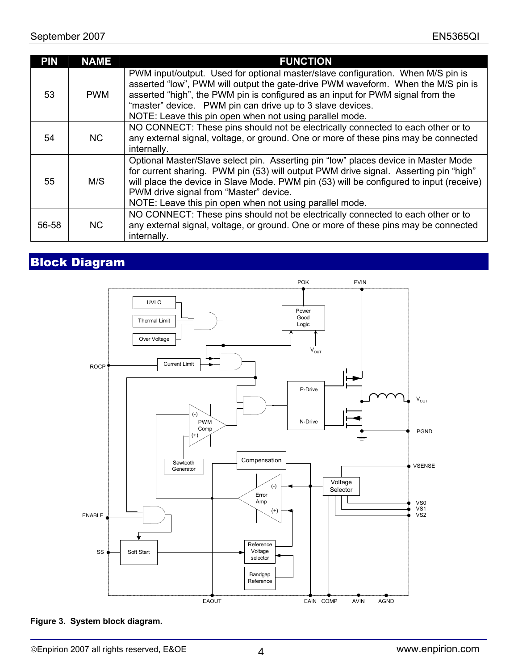| <b>PIN</b> | <b>NAME</b> | <b>FUNCTION</b>                                                                                                                                                                                                                                                                                                                                                               |
|------------|-------------|-------------------------------------------------------------------------------------------------------------------------------------------------------------------------------------------------------------------------------------------------------------------------------------------------------------------------------------------------------------------------------|
| 53         | <b>PWM</b>  | PWM input/output. Used for optional master/slave configuration. When M/S pin is<br>asserted "low", PWM will output the gate-drive PWM waveform. When the M/S pin is<br>asserted "high", the PWM pin is configured as an input for PWM signal from the<br>"master" device. PWM pin can drive up to 3 slave devices.<br>NOTE: Leave this pin open when not using parallel mode. |
| 54         | <b>NC</b>   | NO CONNECT: These pins should not be electrically connected to each other or to<br>any external signal, voltage, or ground. One or more of these pins may be connected<br>internally.                                                                                                                                                                                         |
| 55         | M/S         | Optional Master/Slave select pin. Asserting pin "low" places device in Master Mode<br>for current sharing. PWM pin (53) will output PWM drive signal. Asserting pin "high"<br>will place the device in Slave Mode. PWM pin (53) will be configured to input (receive)<br>PWM drive signal from "Master" device.<br>NOTE: Leave this pin open when not using parallel mode.    |
| 56-58      | <b>NC</b>   | NO CONNECT: These pins should not be electrically connected to each other or to<br>any external signal, voltage, or ground. One or more of these pins may be connected<br>internally.                                                                                                                                                                                         |

# Block Diagram



#### **Figure 3. System block diagram.**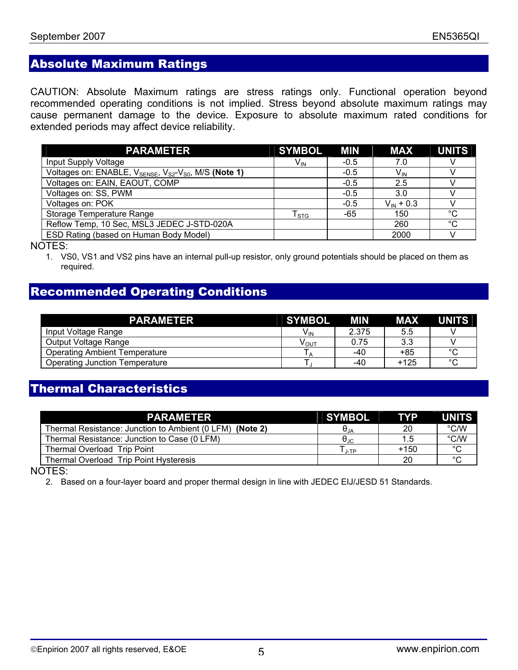# Absolute Maximum Ratings

CAUTION: Absolute Maximum ratings are stress ratings only. Functional operation beyond recommended operating conditions is not implied. Stress beyond absolute maximum ratings may cause permanent damage to the device. Exposure to absolute maximum rated conditions for extended periods may affect device reliability.

| <b>PARAMETER</b>                                                                          | SYMBOL MIN             |        | <b>MAX</b>      | <b>UNITS</b> |
|-------------------------------------------------------------------------------------------|------------------------|--------|-----------------|--------------|
| Input Supply Voltage                                                                      | $V_{\text{IN}}$        | $-0.5$ | 7.0             |              |
| Voltages on: ENABLE, V <sub>SENSE</sub> , V <sub>S2</sub> -V <sub>S0</sub> , M/S (Note 1) |                        | $-0.5$ | V <sub>IN</sub> |              |
| Voltages on: EAIN, EAOUT, COMP                                                            |                        | $-0.5$ | 2.5             |              |
| Voltages on: SS, PWM                                                                      |                        | $-0.5$ | 3.0             |              |
| Voltages on: POK                                                                          |                        | $-0.5$ | $V_{IN}$ + 0.3  |              |
| Storage Temperature Range                                                                 | ${\sf T}_{\text{STG}}$ | -65    | 150             | $^{\circ}C$  |
| Reflow Temp, 10 Sec, MSL3 JEDEC J-STD-020A                                                |                        |        | 260             | $^{\circ}C$  |
| ESD Rating (based on Human Body Model)                                                    |                        |        | 2000            |              |

NOTES:

1. VS0, VS1 and VS2 pins have an internal pull-up resistor, only ground potentials should be placed on them as required.

# Recommended Operating Conditions

| <b>PARAMETER</b>                      | <b>SYMBOL</b>    | <b>MIN</b> | <b>MAX</b> | <b>UNITS</b> |
|---------------------------------------|------------------|------------|------------|--------------|
| Input Voltage Range                   | V IN             | 2.375      | 5.5        |              |
| Output Voltage Range                  | ν <sub>ουτ</sub> | 0.75       | 3.3        |              |
| <b>Operating Ambient Temperature</b>  |                  | -40        | +85        | $\circ$      |
| <b>Operating Junction Temperature</b> |                  | -40        | $+125$     | $\sim$       |

## Thermal Characteristics

| <b>PARAMETER</b>                                         | <b>SYMBOL</b>                          | <b>TYP</b> | <b>UNITS</b> |
|----------------------------------------------------------|----------------------------------------|------------|--------------|
| Thermal Resistance: Junction to Ambient (0 LFM) (Note 2) | $\Theta_{JA}$                          | 20         | °C/W         |
| Thermal Resistance: Junction to Case (0 LFM)             | $\theta_{\text{JC}}$                   | 1.5        | °C/W         |
| Thermal Overload Trip Point                              | $\mathsf{\tau}_{\text{\tiny{J-TP}}}$ . | $+150$     | $\sim$       |
| Thermal Overload Trip Point Hysteresis                   |                                        | <b>20</b>  | $\sim$       |

NOTES:

2. Based on a four-layer board and proper thermal design in line with JEDEC EIJ/JESD 51 Standards.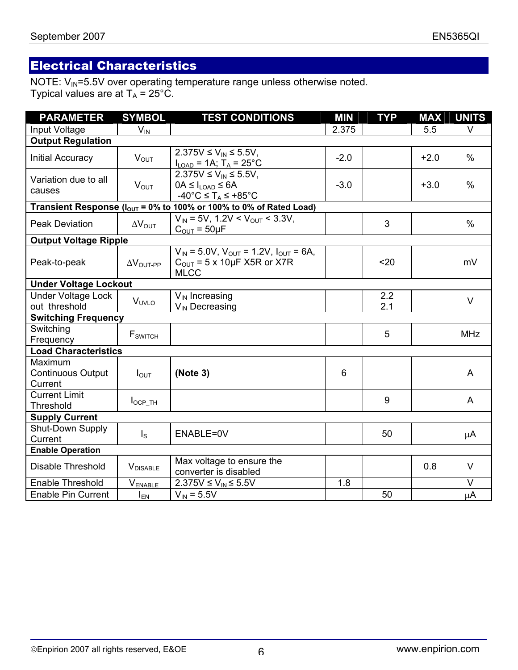# Electrical Characteristics

NOTE: V<sub>IN</sub>=5.5V over operating temperature range unless otherwise noted. Typical values are at  $T_A$  = 25°C.

| <b>PARAMETER</b>                               | <b>SYMBOL</b>              | <b>TEST CONDITIONS</b>                                                                                                               | <b>MIN</b> | <b>TYP</b> | <b>MAX</b> | <b>UNITS</b> |
|------------------------------------------------|----------------------------|--------------------------------------------------------------------------------------------------------------------------------------|------------|------------|------------|--------------|
| Input Voltage                                  | $V_{IN}$                   |                                                                                                                                      | 2.375      |            | 5.5        | V            |
| <b>Output Regulation</b>                       |                            |                                                                                                                                      |            |            |            |              |
| <b>Initial Accuracy</b>                        | $V_{OUT}$                  | $2.375V \le V_{IN} \le 5.5V$ ,<br>$I_{LOAD} = 1A$ ; $T_A = 25^{\circ}C$                                                              | $-2.0$     |            | $+2.0$     | $\%$         |
| Variation due to all<br>causes                 | $V_{OUT}$                  | $2.375V \le V_{IN} \le 5.5V$ ,<br>$0A \leq I_{\text{LOAD}} \leq 6A$<br>$-40^{\circ}$ C $\leq$ T <sub>A</sub> $\leq$ +85 $^{\circ}$ C | $-3.0$     |            | $+3.0$     | $\%$         |
|                                                |                            | Transient Response ( $I_{OUT}$ = 0% to 100% or 100% to 0% of Rated Load)                                                             |            |            |            |              |
| <b>Peak Deviation</b>                          | $\Delta V_{\text{OUT}}$    | $\overline{V_{IN}}$ = 5V, 1.2V < V <sub>OUT</sub> < 3.3V,<br>$C_{\text{OUT}} = 50 \mu F$                                             |            | 3          |            | $\%$         |
| <b>Output Voltage Ripple</b>                   |                            |                                                                                                                                      |            |            |            |              |
| Peak-to-peak                                   | $\Delta V_{\text{OUT-PP}}$ | $V_{IN}$ = 5.0V, $V_{OUT}$ = 1.2V, $I_{OUT}$ = 6A,<br>$C_{\text{OUT}}$ = 5 x 10µF X5R or X7R<br><b>MLCC</b>                          |            | $20$       |            | mV           |
| <b>Under Voltage Lockout</b>                   |                            |                                                                                                                                      |            |            |            |              |
| <b>Under Voltage Lock</b><br>out threshold     | V <sub>UVLO</sub>          | $V_{IN}$ Increasing<br>V <sub>IN</sub> Decreasing                                                                                    |            | 2.2<br>2.1 |            | $\vee$       |
| <b>Switching Frequency</b>                     |                            |                                                                                                                                      |            |            |            |              |
| Switching<br>Frequency                         | <b>F</b> <sub>SWITCH</sub> |                                                                                                                                      |            | 5          |            | <b>MHz</b>   |
| <b>Load Characteristics</b>                    |                            |                                                                                                                                      |            |            |            |              |
| Maximum<br><b>Continuous Output</b><br>Current | $I_{\text{OUT}}$           | (Note 3)                                                                                                                             | 6          |            |            | A            |
| <b>Current Limit</b><br><b>Threshold</b>       | $I_{OCP_TH}$               |                                                                                                                                      |            | 9          |            | $\mathsf{A}$ |
| <b>Supply Current</b>                          |                            |                                                                                                                                      |            |            |            |              |
| Shut-Down Supply<br>Current                    | $\mathsf{I}_\mathsf{S}$    | ENABLE=0V                                                                                                                            |            | 50         |            | μA           |
| <b>Enable Operation</b>                        |                            |                                                                                                                                      |            |            |            |              |
| Disable Threshold                              | <b>V</b> DISABLE           | Max voltage to ensure the<br>converter is disabled                                                                                   |            |            | 0.8        | $\vee$       |
| <b>Enable Threshold</b>                        | V <sub>ENABLE</sub>        | 2.375V ≤ $V_{IN}$ ≤ 5.5V                                                                                                             | 1.8        |            |            | V            |
| <b>Enable Pin Current</b>                      | $I_{EN}$                   | $V_{IN} = 5.5V$                                                                                                                      |            | 50         |            | μA           |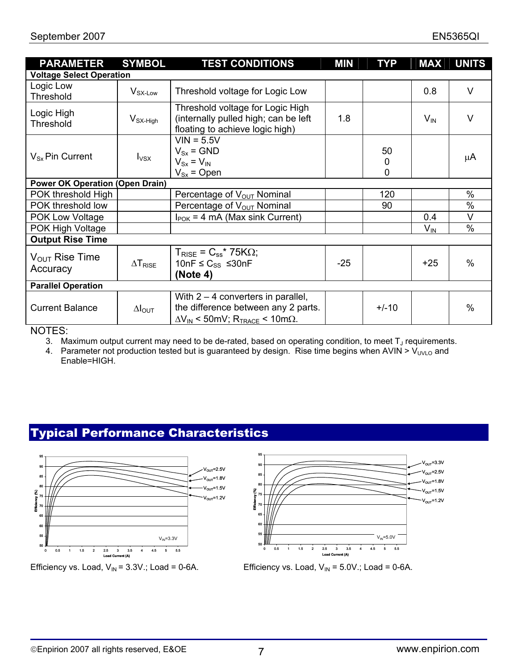| <b>PARAMETER</b>                                                                                                            | <b>SYMBOL</b>            | <b>TEST CONDITIONS</b>                                                                                                                     | <b>MIN</b> | <b>TYP</b> | <b>MAX</b> | <b>UNITS</b> |
|-----------------------------------------------------------------------------------------------------------------------------|--------------------------|--------------------------------------------------------------------------------------------------------------------------------------------|------------|------------|------------|--------------|
| <b>Voltage Select Operation</b>                                                                                             |                          |                                                                                                                                            |            |            |            |              |
| Logic Low<br>Threshold                                                                                                      | V <sub>SX-Low</sub>      | Threshold voltage for Logic Low                                                                                                            |            |            | 0.8        | $\vee$       |
| Logic High<br>Threshold                                                                                                     | $V_{SX-High}$            | Threshold voltage for Logic High<br>(internally pulled high; can be left<br>floating to achieve logic high)                                | 1.8        |            | $V_{IN}$   | $\vee$       |
| $VIN = 5.5V$<br>$V_{Sx}$ = GND<br>50<br>$V_{Sx}$ Pin Current<br>$I_{VSX}$<br>$V_{Sx} = V_{IN}$<br>0<br>0<br>$V_{Sx}$ = Open |                          | μA                                                                                                                                         |            |            |            |              |
| <b>Power OK Operation (Open Drain)</b>                                                                                      |                          |                                                                                                                                            |            |            |            |              |
| POK threshold High                                                                                                          |                          | Percentage of $V_{\text{OUT}}$ Nominal                                                                                                     |            | 120        |            | $\%$         |
| POK threshold low                                                                                                           |                          | Percentage of V <sub>OUT</sub> Nominal                                                                                                     |            | 90         |            | $\%$         |
| POK Low Voltage                                                                                                             |                          | $I_{\text{POK}}$ = 4 mA (Max sink Current)                                                                                                 |            |            | 0.4        | V            |
| POK High Voltage                                                                                                            |                          |                                                                                                                                            | $V_{IN}$   | $\%$       |            |              |
| <b>Output Rise Time</b>                                                                                                     |                          |                                                                                                                                            |            |            |            |              |
| $V_{\text{OUT}}$ Rise Time<br>Accuracy                                                                                      | $\Delta T_{\text{RISE}}$ | $T_{\text{RISE}}$ = $C_{ss}$ * 75K $\Omega$ ;<br>10nF $\leq$ C <sub>SS</sub> $\leq$ 30nF<br>(Note 4)                                       | $-25$      |            | $+25$      | $\%$         |
| <b>Parallel Operation</b>                                                                                                   |                          |                                                                                                                                            |            |            |            |              |
| <b>Current Balance</b>                                                                                                      | $\Delta I_{\text{OUT}}$  | With $2 - 4$ converters in parallel,<br>the difference between any 2 parts.<br>$\Delta V_{IN}$ < 50mV; R <sub>TRACE</sub> < 10m $\Omega$ . |            | $+/-10$    |            | $\%$         |

NOTES:

3. Maximum output current may need to be de-rated, based on operating condition, to meet  $T_J$  requirements.

4. Parameter not production tested but is guaranteed by design. Rise time begins when AVIN >  $V_{UVLO}$  and Enable=HIGH.

# Typical Performance Characteristics



Efficiency vs. Load,  $V_{IN}$  = 3.3V.; Load = 0-6A. Efficiency vs. Load,  $V_{IN}$  = 5.0V.; Load = 0-6A.



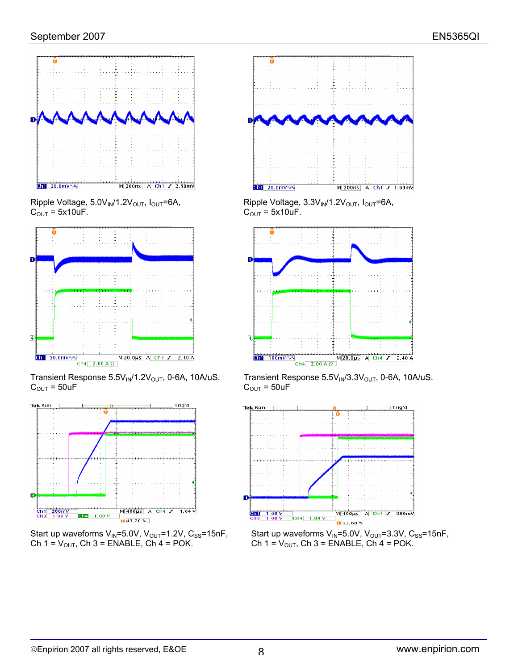

 $C_{\text{OUT}} = 5x10uF.$   $C_{\text{OUT}} = 5x10uF.$ 



 $C_{\text{OUT}} = 50uF$   $C_{\text{OUT}} = 50uF$ 







Ripple Voltage, 5.0V<sub>IN</sub>/1.2V<sub>OUT</sub>, I<sub>OUT</sub>=6A, Ripple Voltage, 3.3V<sub>IN</sub>/1.2V<sub>OUT</sub>, I<sub>OUT</sub>=6A,



Transient Response  $5.5V_{IN}/1.2V_{OUT}$ , 0-6A, 10A/uS. Transient Response  $5.5V_{IN}/3.3V_{OUT}$ , 0-6A, 10A/uS.



Start up waveforms V<sub>IN</sub>=5.0V, V<sub>OUT</sub>=1.2V, C<sub>SS</sub>=15nF, Start up waveforms V<sub>IN</sub>=5.0V, V<sub>OUT</sub>=3.3V, C<sub>SS</sub>=15nF, Ch 1 = V<sub>OUT</sub>, Ch 3 = ENABLE, Ch 4 = POK. Ch  $1 = V_{\text{OUT}}$ , Ch  $3 =$  ENABLE, Ch  $4 =$  POK.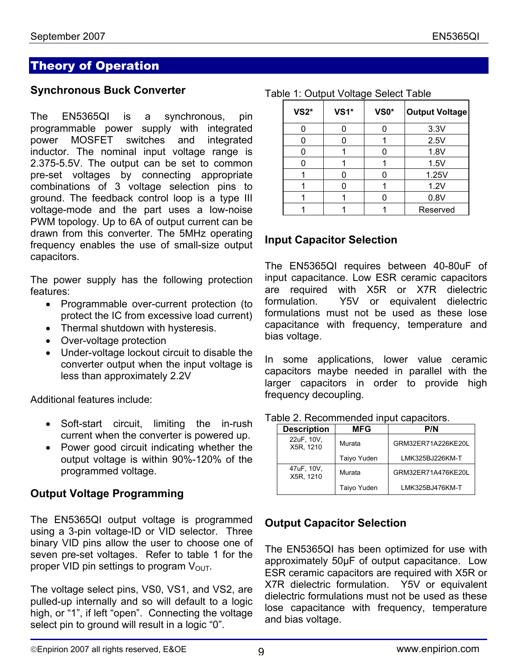## Theory of Operation

#### **Synchronous Buck Converter**

The EN5365QI is a synchronous, pin programmable power supply with integrated power MOSFET switches and integrated inductor. The nominal input voltage range is 2.375-5.5V. The output can be set to common pre-set voltages by connecting appropriate combinations of 3 voltage selection pins to ground. The feedback control loop is a type III voltage-mode and the part uses a low-noise PWM topology. Up to 6A of output current can be drawn from this converter. The 5MHz operating frequency enables the use of small-size output capacitors.

The power supply has the following protection features:

- Programmable over-current protection (to protect the IC from excessive load current)
- Thermal shutdown with hysteresis.
- Over-voltage protection
- Under-voltage lockout circuit to disable the converter output when the input voltage is less than approximately 2.2V

Additional features include:

- Soft-start circuit, limiting the in-rush current when the converter is powered up.
- Power good circuit indicating whether the output voltage is within 90%-120% of the programmed voltage.

#### **Output Voltage Programming**

The EN5365QI output voltage is programmed using a 3-pin voltage-ID or VID selector. Three binary VID pins allow the user to choose one of seven pre-set voltages. Refer to table 1 for the proper VID pin settings to program  $V_{\text{OUT}}$ .

The voltage select pins, VS0, VS1, and VS2, are pulled-up internally and so will default to a logic high, or "1", if left "open". Connecting the voltage select pin to ground will result in a logic "0".

| <b>VS2*</b> | $VS1*$ | VS0* | <b>Output Voltage</b> |
|-------------|--------|------|-----------------------|
|             |        |      | 3.3V                  |
| n           | O      |      | 2.5V                  |
|             |        |      | 1.8V                  |
|             |        |      | 1.5V                  |
|             |        |      | 1.25V                 |
|             |        |      | 1.2V                  |
|             |        |      | 0.8V                  |
|             |        |      | Reserved              |

#### Table 1: Output Voltage Select Table

#### **Input Capacitor Selection**

The EN5365QI requires between 40-80uF of input capacitance. Low ESR ceramic capacitors are required with X5R or X7R dielectric formulation. Y5V or equivalent dielectric formulations must not be used as these lose capacitance with frequency, temperature and bias voltage.

In some applications, lower value ceramic capacitors maybe needed in parallel with the larger capacitors in order to provide high frequency decoupling.

| <b>Description</b>      | <b>MFG</b>  | P/N                |
|-------------------------|-------------|--------------------|
| 22uF, 10V,<br>X5R, 1210 | Murata      | GRM32ER71A226KE20L |
|                         | Taiyo Yuden | LMK325BJ226KM-T    |
| 47uF, 10V,<br>X5R. 1210 | Murata      | GRM32ER71A476KE20L |
|                         | Taiyo Yuden | LMK325BJ476KM-T    |

#### Table 2. Recommended input capacitors.

#### **Output Capacitor Selection**

The EN5365QI has been optimized for use with approximately 50µF of output capacitance. Low ESR ceramic capacitors are required with X5R or X7R dielectric formulation. Y5V or equivalent dielectric formulations must not be used as these lose capacitance with frequency, temperature and bias voltage.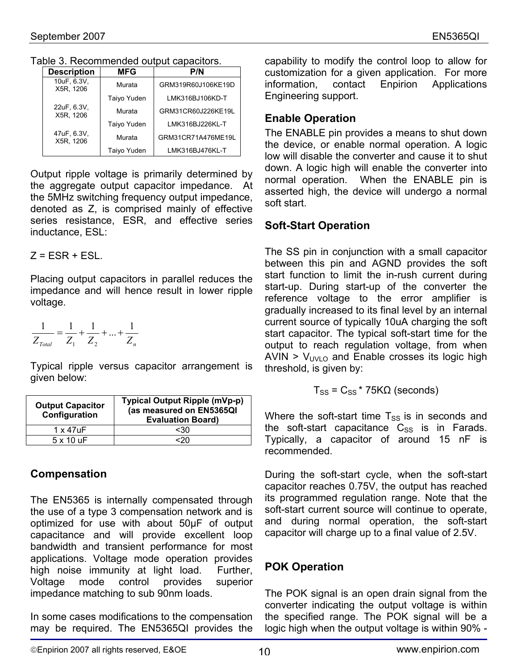Table 3. Recommended output capacitors.

| <b>Description</b>       | <b>MFG</b>  | P/N                |
|--------------------------|-------------|--------------------|
| 10uF, 6.3V,<br>X5R, 1206 | Murata      | GRM319R60J106KE19D |
|                          | Taiyo Yuden | LMK316BJ106KD-T    |
| 22uF, 6.3V,<br>X5R. 1206 | Murata      | GRM31CR60J226KE19L |
|                          | Taiyo Yuden | LMK316BJ226KL-T    |
| 47uF, 6.3V,<br>X5R. 1206 | Murata      | GRM31CR71A476ME19L |
|                          | Taiyo Yuden | LMK316BJ476KL-T    |

Output ripple voltage is primarily determined by the aggregate output capacitor impedance. At the 5MHz switching frequency output impedance, denoted as Z, is comprised mainly of effective series resistance, ESR, and effective series inductance, ESL:

 $Z = FSR + FSI$ 

Placing output capacitors in parallel reduces the impedance and will hence result in lower ripple voltage.

$$
\frac{1}{Z_{\text{Total}}} = \frac{1}{Z_1} + \frac{1}{Z_2} + \dots + \frac{1}{Z_n}
$$

Typical ripple versus capacitor arrangement is given below:

| <b>Output Capacitor</b><br>Configuration | Typical Output Ripple (mVp-p)<br>(as measured on EN5365QI<br><b>Evaluation Board)</b> |
|------------------------------------------|---------------------------------------------------------------------------------------|
| $1 \times 47$ uF                         | <30                                                                                   |
| $5 \times 10$ uF                         |                                                                                       |

# **Compensation**

The EN5365 is internally compensated through the use of a type 3 compensation network and is optimized for use with about 50µF of output capacitance and will provide excellent loop bandwidth and transient performance for most applications. Voltage mode operation provides high noise immunity at light load. Further, Voltage mode control provides superior impedance matching to sub 90nm loads.

In some cases modifications to the compensation may be required. The EN5365QI provides the capability to modify the control loop to allow for customization for a given application. For more information, contact Enpirion Applications contact Enpirion Applications Engineering support.

# **Enable Operation**

The ENABLE pin provides a means to shut down the device, or enable normal operation. A logic low will disable the converter and cause it to shut down. A logic high will enable the converter into normal operation. When the ENABLE pin is asserted high, the device will undergo a normal soft start.

# **Soft-Start Operation**

The SS pin in conjunction with a small capacitor between this pin and AGND provides the soft start function to limit the in-rush current during start-up. During start-up of the converter the reference voltage to the error amplifier is gradually increased to its final level by an internal current source of typically 10uA charging the soft start capacitor. The typical soft-start time for the output to reach regulation voltage, from when  $AVIN > V<sub>UVLO</sub>$  and Enable crosses its logic high threshold, is given by:

$$
T_{SS} = C_{SS} * 75 K\Omega
$$
 (seconds)

Where the soft-start time  $T_{SS}$  is in seconds and the soft-start capacitance  $C_{SS}$  is in Farads. Typically, a capacitor of around 15 nF is recommended.

During the soft-start cycle, when the soft-start capacitor reaches 0.75V, the output has reached its programmed regulation range. Note that the soft-start current source will continue to operate, and during normal operation, the soft-start capacitor will charge up to a final value of 2.5V.

# **POK Operation**

The POK signal is an open drain signal from the converter indicating the output voltage is within the specified range. The POK signal will be a logic high when the output voltage is within 90% -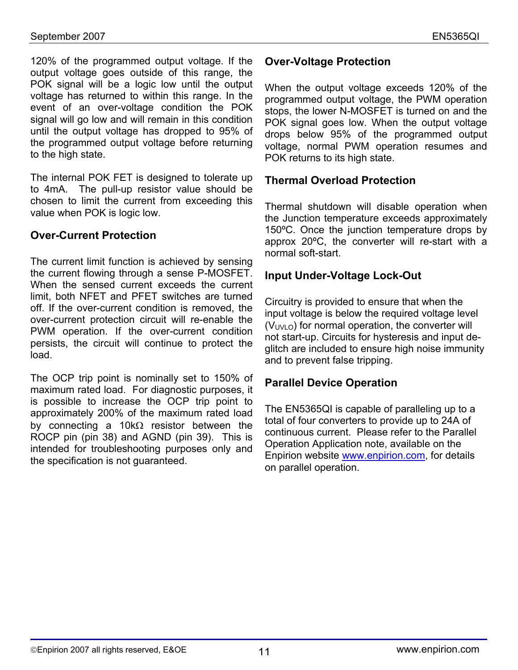120% of the programmed output voltage. If the output voltage goes outside of this range, the POK signal will be a logic low until the output voltage has returned to within this range. In the event of an over-voltage condition the POK signal will go low and will remain in this condition until the output voltage has dropped to 95% of the programmed output voltage before returning to the high state.

The internal POK FET is designed to tolerate up to 4mA. The pull-up resistor value should be chosen to limit the current from exceeding this value when POK is logic low.

#### **Over-Current Protection**

The current limit function is achieved by sensing the current flowing through a sense P-MOSFET. When the sensed current exceeds the current limit, both NFET and PFET switches are turned off. If the over-current condition is removed, the over-current protection circuit will re-enable the PWM operation. If the over-current condition persists, the circuit will continue to protect the load.

The OCP trip point is nominally set to 150% of maximum rated load. For diagnostic purposes, it is possible to increase the OCP trip point to approximately 200% of the maximum rated load by connecting a 10kΩ resistor between the ROCP pin (pin 38) and AGND (pin 39). This is intended for troubleshooting purposes only and the specification is not guaranteed.

### **Over-Voltage Protection**

When the output voltage exceeds 120% of the programmed output voltage, the PWM operation stops, the lower N-MOSFET is turned on and the POK signal goes low. When the output voltage drops below 95% of the programmed output voltage, normal PWM operation resumes and POK returns to its high state.

#### **Thermal Overload Protection**

Thermal shutdown will disable operation when the Junction temperature exceeds approximately 150ºC. Once the junction temperature drops by approx 20ºC, the converter will re-start with a normal soft-start.

#### **Input Under-Voltage Lock-Out**

Circuitry is provided to ensure that when the input voltage is below the required voltage level  $(V<sub>UVLO</sub>)$  for normal operation, the converter will not start-up. Circuits for hysteresis and input deglitch are included to ensure high noise immunity and to prevent false tripping.

#### **Parallel Device Operation**

The EN5365QI is capable of paralleling up to a total of four converters to provide up to 24A of continuous current. Please refer to the Parallel Operation Application note, available on the Enpirion website www.enpirion.com, for details on parallel operation.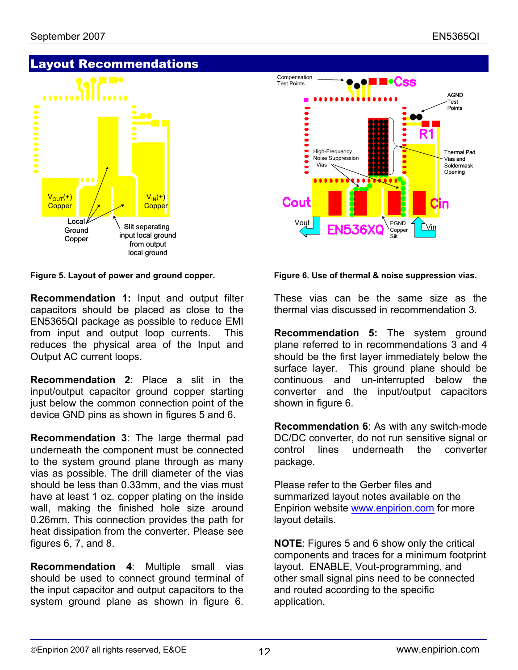# Layout Recommendations



**Recommendation 1:** Input and output filter capacitors should be placed as close to the EN5365QI package as possible to reduce EMI from input and output loop currents. This reduces the physical area of the Input and Output AC current loops.

**Recommendation 2**: Place a slit in the input/output capacitor ground copper starting just below the common connection point of the device GND pins as shown in figures 5 and 6.

**Recommendation 3**: The large thermal pad underneath the component must be connected to the system ground plane through as many vias as possible. The drill diameter of the vias should be less than 0.33mm, and the vias must have at least 1 oz. copper plating on the inside wall, making the finished hole size around 0.26mm. This connection provides the path for heat dissipation from the converter. Please see figures 6, 7, and 8.

**Recommendation 4**: Multiple small vias should be used to connect ground terminal of the input capacitor and output capacitors to the system ground plane as shown in figure 6.



#### **Figure 5. Layout of power and ground copper. Figure 6. Use of thermal & noise suppression vias.**

These vias can be the same size as the thermal vias discussed in recommendation 3.

**Recommendation 5:** The system ground plane referred to in recommendations 3 and 4 should be the first layer immediately below the surface layer. This ground plane should be continuous and un-interrupted below the converter and the input/output capacitors shown in figure 6.

**Recommendation 6**: As with any switch-mode DC/DC converter, do not run sensitive signal or control lines underneath the converter package.

Please refer to the Gerber files and summarized layout notes available on the Enpirion website www.enpirion.com for more layout details.

**NOTE**: Figures 5 and 6 show only the critical components and traces for a minimum footprint layout. ENABLE, Vout-programming, and other small signal pins need to be connected and routed according to the specific application.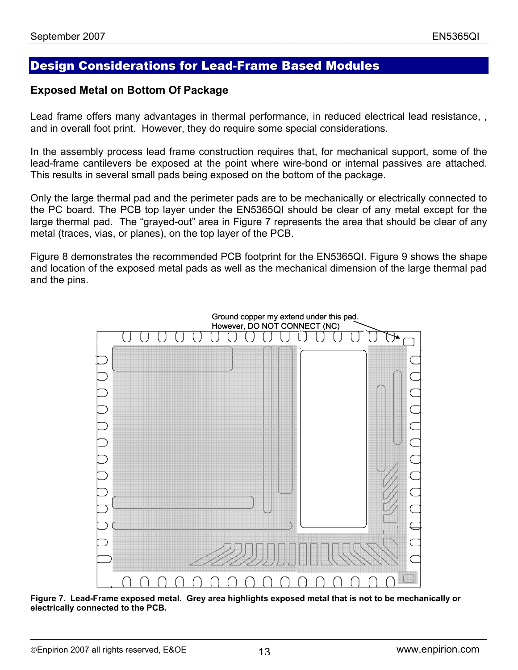## Design Considerations for Lead-Frame Based Modules

#### **Exposed Metal on Bottom Of Package**

Lead frame offers many advantages in thermal performance, in reduced electrical lead resistance, , and in overall foot print. However, they do require some special considerations.

In the assembly process lead frame construction requires that, for mechanical support, some of the lead-frame cantilevers be exposed at the point where wire-bond or internal passives are attached. This results in several small pads being exposed on the bottom of the package.

Only the large thermal pad and the perimeter pads are to be mechanically or electrically connected to the PC board. The PCB top layer under the EN5365QI should be clear of any metal except for the large thermal pad. The "grayed-out" area in Figure 7 represents the area that should be clear of any metal (traces, vias, or planes), on the top layer of the PCB.

Figure 8 demonstrates the recommended PCB footprint for the EN5365QI. Figure 9 shows the shape and location of the exposed metal pads as well as the mechanical dimension of the large thermal pad and the pins.



**Figure 7. Lead-Frame exposed metal. Grey area highlights exposed metal that is not to be mechanically or electrically connected to the PCB.**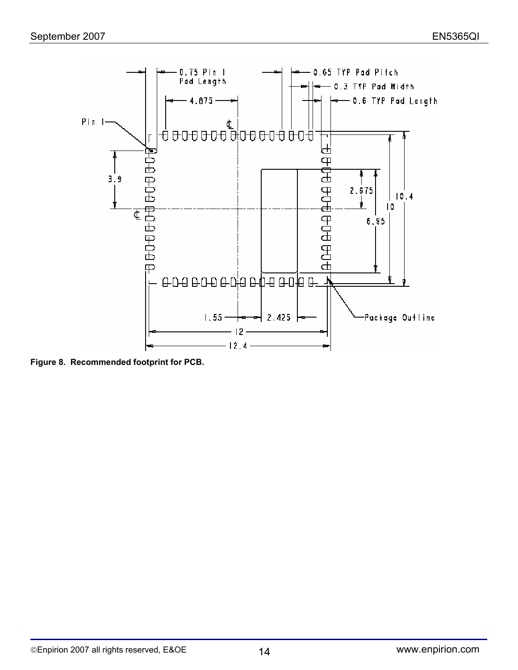

**Figure 8. Recommended footprint for PCB.**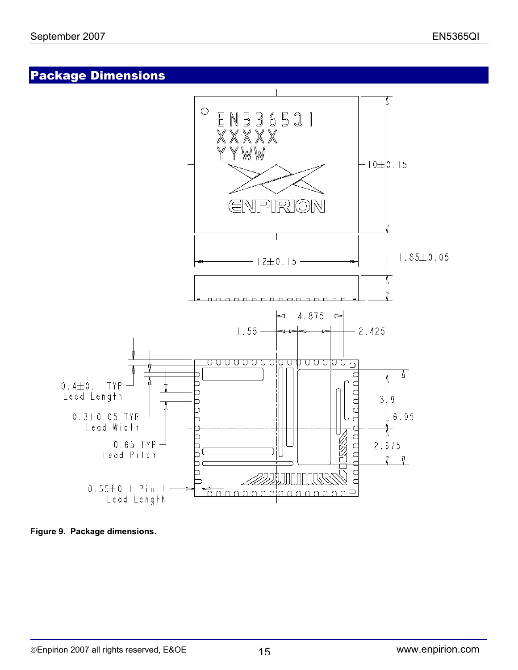# Package Dimensions



**Figure 9. Package dimensions.**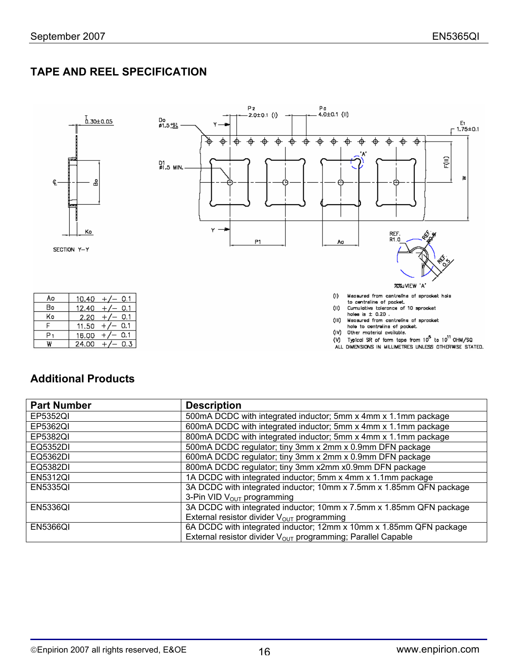# **TAPE AND REEL SPECIFICATION**



#### **Additional Products**

| <b>Part Number</b> | <b>Description</b>                                                       |
|--------------------|--------------------------------------------------------------------------|
| EP5352QI           | 500mA DCDC with integrated inductor; 5mm x 4mm x 1.1mm package           |
| EP5362QI           | 600mA DCDC with integrated inductor; 5mm x 4mm x 1.1mm package           |
| EP5382QI           | 800mA DCDC with integrated inductor; 5mm x 4mm x 1.1mm package           |
| EQ5352DI           | 500mA DCDC regulator; tiny 3mm x 2mm x 0.9mm DFN package                 |
| EQ5362DI           | 600mA DCDC regulator; tiny 3mm x 2mm x 0.9mm DFN package                 |
| EQ5382DI           | 800mA DCDC regulator; tiny 3mm x2mm x0.9mm DFN package                   |
| <b>EN5312QI</b>    | 1A DCDC with integrated inductor; 5mm x 4mm x 1.1mm package              |
| <b>EN5335QI</b>    | 3A DCDC with integrated inductor; 10mm x 7.5mm x 1.85mm QFN package      |
|                    | 3-Pin VID V <sub>OUT</sub> programming                                   |
| <b>EN5336QI</b>    | 3A DCDC with integrated inductor; 10mm x 7.5mm x 1.85mm QFN package      |
|                    | External resistor divider V <sub>OUT</sub> programming                   |
| <b>EN5366QI</b>    | 6A DCDC with integrated inductor; 12mm x 10mm x 1.85mm QFN package       |
|                    | External resistor divider V <sub>OUT</sub> programming; Parallel Capable |